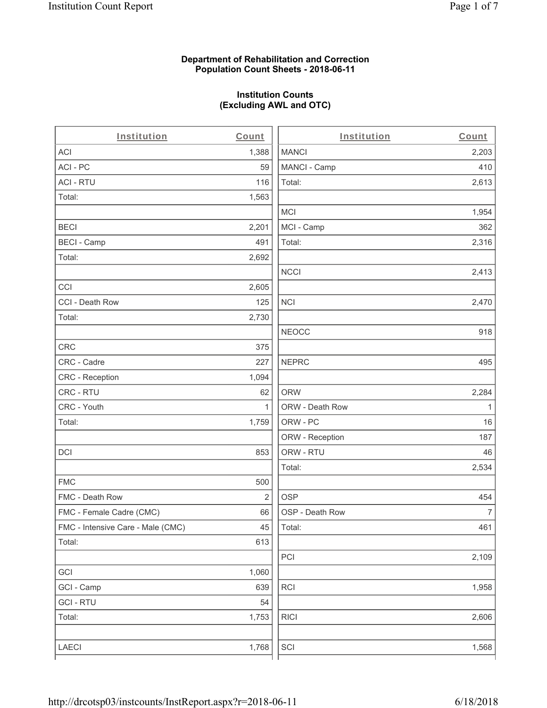## **Department of Rehabilitation and Correction Population Count Sheets - 2018-06-11**

## **Institution Counts (Excluding AWL and OTC)**

 $\overline{a}$ .

| Institution                       | Count        | Institution     | Count        |
|-----------------------------------|--------------|-----------------|--------------|
| ACI                               | 1,388        | <b>MANCI</b>    | 2,203        |
| ACI-PC                            | 59           | MANCI - Camp    | 410          |
| <b>ACI - RTU</b>                  | 116          | Total:          | 2,613        |
| Total:                            | 1,563        |                 |              |
|                                   |              | <b>MCI</b>      | 1,954        |
| <b>BECI</b>                       | 2,201        | MCI - Camp      | 362          |
| <b>BECI - Camp</b>                | 491          | Total:          | 2,316        |
| Total:                            | 2,692        |                 |              |
|                                   |              | <b>NCCI</b>     | 2,413        |
| CCI                               | 2,605        |                 |              |
| CCI - Death Row                   | 125          | <b>NCI</b>      | 2,470        |
| Total:                            | 2,730        |                 |              |
|                                   |              | <b>NEOCC</b>    | 918          |
| <b>CRC</b>                        | 375          |                 |              |
| CRC - Cadre                       | 227          | <b>NEPRC</b>    | 495          |
| CRC - Reception                   | 1,094        |                 |              |
| CRC - RTU                         | 62           | <b>ORW</b>      | 2,284        |
| CRC - Youth                       | $\mathbf{1}$ | ORW - Death Row | $\mathbf{1}$ |
| Total:                            | 1,759        | ORW - PC        | 16           |
|                                   |              | ORW - Reception | 187          |
| DCI                               | 853          | ORW - RTU       | 46           |
|                                   |              | Total:          | 2,534        |
| <b>FMC</b>                        | 500          |                 |              |
| FMC - Death Row                   | 2            | <b>OSP</b>      | 454          |
| FMC - Female Cadre (CMC)          | 66           | OSP - Death Row | 7            |
| FMC - Intensive Care - Male (CMC) | 45           | Total:          | 461          |
| Total:                            | 613          |                 |              |
|                                   |              | PCI             | 2,109        |
| GCI                               | 1,060        |                 |              |
| GCI - Camp                        | 639          | RCI             | 1,958        |
| <b>GCI - RTU</b>                  | 54           |                 |              |
| Total:                            | 1,753        | <b>RICI</b>     | 2,606        |
|                                   |              |                 |              |
| LAECI                             | 1,768        | SCI             | 1,568        |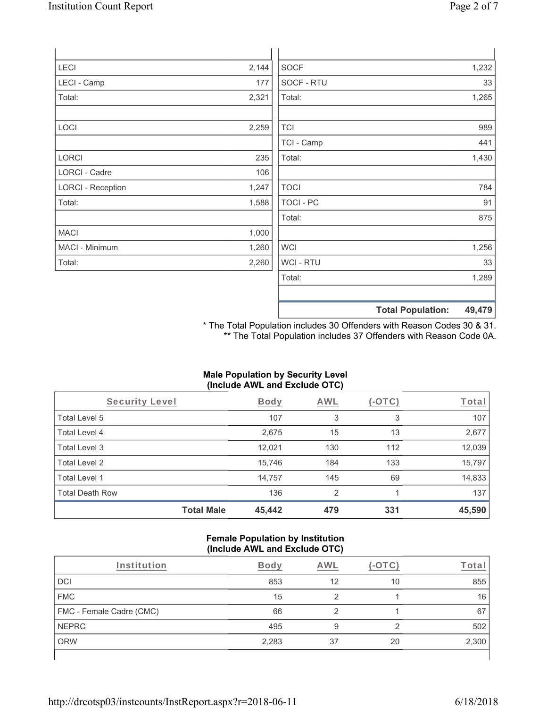| LECI                     | 2,144 | <b>SOCF</b>      | 1,232 |
|--------------------------|-------|------------------|-------|
| LECI - Camp              | 177   | SOCF - RTU       | 33    |
| Total:                   | 2,321 | Total:           | 1,265 |
|                          |       |                  |       |
| LOCI                     | 2,259 | <b>TCI</b>       | 989   |
|                          |       | TCI - Camp       | 441   |
| LORCI                    | 235   | Total:           | 1,430 |
| <b>LORCI - Cadre</b>     | 106   |                  |       |
| <b>LORCI - Reception</b> | 1,247 | <b>TOCI</b>      | 784   |
| Total:                   | 1,588 | <b>TOCI - PC</b> | 91    |
|                          |       | Total:           | 875   |
| MACI                     | 1,000 |                  |       |
| MACI - Minimum           | 1,260 | <b>WCI</b>       | 1,256 |
| Total:                   | 2,260 | WCI - RTU        | 33    |
|                          |       | Total:           | 1,289 |
|                          |       |                  |       |

**Total Population: 49,479**

\* The Total Population includes 30 Offenders with Reason Codes 30 & 31. \*\* The Total Population includes 37 Offenders with Reason Code 0A.

# **Male Population by Security Level (Include AWL and Exclude OTC)**

| Security Level         |                   | <b>Body</b> | AWL            | $(-\text{OTC})$ | Total  |
|------------------------|-------------------|-------------|----------------|-----------------|--------|
| Total Level 5          |                   | 107         | 3              | 3               | 107    |
| Total Level 4          |                   | 2,675       | 15             | 13              | 2,677  |
| Total Level 3          |                   | 12,021      | 130            | 112             | 12,039 |
| Total Level 2          |                   | 15,746      | 184            | 133             | 15,797 |
| Total Level 1          |                   | 14,757      | 145            | 69              | 14,833 |
| <b>Total Death Row</b> |                   | 136         | $\mathfrak{p}$ |                 | 137    |
|                        | <b>Total Male</b> | 45,442      | 479            | 331             | 45,590 |

#### **Female Population by Institution (Include AWL and Exclude OTC)**

| Institution              | <b>Body</b> | AWL |    | <u><sup>r</sup>ota</u> r |
|--------------------------|-------------|-----|----|--------------------------|
| DCI                      | 853         | 12  | 10 | 855                      |
| <b>FMC</b>               | 15          |     |    | 16                       |
| FMC - Female Cadre (CMC) | 66          |     |    | 67                       |
| <b>NEPRC</b>             | 495         | 9   | ◠  | 502                      |
| <b>ORW</b>               | 2,283       | 37  | 20 | 2,300                    |
|                          |             |     |    |                          |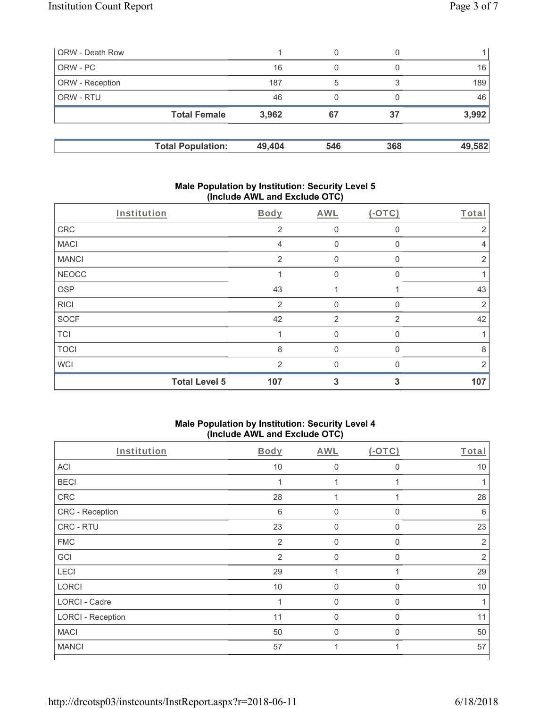| ORW - Death Row        |                          |        | 0   |     |        |
|------------------------|--------------------------|--------|-----|-----|--------|
| ORW - PC               |                          | 16     |     |     | 16     |
| <b>ORW</b> - Reception |                          | 187    | 5   |     | 189    |
| <b>ORW - RTU</b>       |                          | 46     |     |     | 46     |
|                        | <b>Total Female</b>      | 3,962  | 67  | 37  | 3,992  |
|                        | <b>Total Population:</b> | 49,404 | 546 | 368 | 49,582 |

#### **Male Population by Institution: Security Level 5 (Include AWL and Exclude OTC)**

|              | Institution          | Body           | AWL            | $(-OTC)$       | Total          |
|--------------|----------------------|----------------|----------------|----------------|----------------|
| CRC          |                      | 2              | 0              | 0              | 2              |
| <b>MACI</b>  |                      | 4              | $\mathbf 0$    | $\Omega$       | 4              |
| <b>MANCI</b> |                      | 2              | 0              | 0              | 2              |
| <b>NEOCC</b> |                      |                | $\Omega$       | $\Omega$       |                |
| <b>OSP</b>   |                      | 43             | 1              |                | 43             |
| <b>RICI</b>  |                      | $\overline{2}$ | 0              | $\Omega$       | $\overline{2}$ |
| <b>SOCF</b>  |                      | 42             | $\overline{2}$ | $\overline{2}$ | 42             |
| <b>TCI</b>   |                      |                | $\Omega$       | 0              |                |
| <b>TOCI</b>  |                      | 8              | $\Omega$       | $\mathbf{0}$   | 8              |
| <b>WCI</b>   |                      | $\mathcal{P}$  | $\Omega$       | $\Omega$       | 2              |
|              | <b>Total Level 5</b> | 107            | 3              | 3              | 107            |

#### **Male Population by Institution: Security Level 4 (Include AWL and Exclude OTC)**

| $\mathcal{L}$            |                | $\overline{\phantom{a}}$ |              |                |
|--------------------------|----------------|--------------------------|--------------|----------------|
| Institution              | <b>Body</b>    | AWL                      | (OTC)        | Total          |
| <b>ACI</b>               | $10$           | $\mathbf 0$              | 0            | 10             |
| <b>BECI</b>              | 1              |                          |              |                |
| ${\sf CRC}$              | 28             |                          |              | 28             |
| CRC - Reception          | 6              | $\Omega$                 | $\mathbf{0}$ | 6              |
| CRC - RTU                | 23             | $\mathbf 0$              | $\Omega$     | 23             |
| <b>FMC</b>               | $\overline{2}$ | 0                        | $\mathbf{0}$ | $\overline{2}$ |
| GCI                      | 2              | $\mathbf 0$              | $\Omega$     | $\overline{2}$ |
| LECI                     | 29             | 1                        |              | 29             |
| <b>LORCI</b>             | 10             | $\overline{0}$           | $\mathbf 0$  | 10             |
| LORCI - Cadre            | 1              | $\mathbf 0$              | $\mathbf 0$  |                |
| <b>LORCI - Reception</b> | 11             | $\mathbf 0$              | $\mathbf{0}$ | 11             |
| <b>MACI</b>              | 50             | $\overline{0}$           | $\mathbf{0}$ | 50             |
| <b>MANCI</b>             | 57             |                          |              | 57             |
|                          |                |                          |              |                |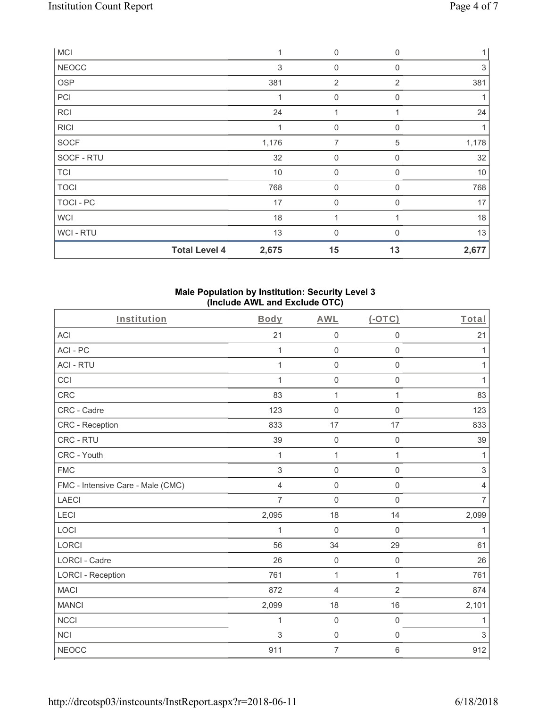| <b>MCI</b>       |                      | 1     | $\mathbf 0$    | $\mathbf 0$    |       |
|------------------|----------------------|-------|----------------|----------------|-------|
| <b>NEOCC</b>     |                      | 3     | 0              | $\Omega$       | 3     |
| OSP              |                      | 381   | $\overline{2}$ | $\overline{2}$ | 381   |
| PCI              |                      |       | 0              | $\mathbf 0$    |       |
| RCI              |                      | 24    | 4              |                | 24    |
| <b>RICI</b>      |                      | 1     | $\mathbf 0$    | $\mathbf 0$    |       |
| SOCF             |                      | 1,176 | 7              | 5              | 1,178 |
| SOCF - RTU       |                      | 32    | $\mathbf 0$    | $\Omega$       | 32    |
| <b>TCI</b>       |                      | 10    | $\mathbf 0$    | $\mathbf 0$    | $10$  |
| <b>TOCI</b>      |                      | 768   | $\mathbf 0$    | $\Omega$       | 768   |
| <b>TOCI - PC</b> |                      | 17    | $\mathbf{0}$   | $\Omega$       | 17    |
| <b>WCI</b>       |                      | 18    | 1              |                | 18    |
| WCI-RTU          |                      | 13    | $\mathbf 0$    | ∩              | 13    |
|                  | <b>Total Level 4</b> | 2,675 | 15             | 13             | 2,677 |

## **Male Population by Institution: Security Level 3 (Include AWL and Exclude OTC)**

| Institution                       | Body           | <b>AWL</b>          | $(-OTC)$            | Total                     |
|-----------------------------------|----------------|---------------------|---------------------|---------------------------|
| <b>ACI</b>                        | 21             | $\mathsf{O}\xspace$ | $\mathsf{O}\xspace$ | 21                        |
| ACI-PC                            | $\mathbf{1}$   | $\mathbf 0$         | $\mathbf 0$         | 1                         |
| <b>ACI - RTU</b>                  | $\mathbf{1}$   | $\mathbf 0$         | $\mathsf 0$         | 1                         |
| CCI                               |                | $\mathbf 0$         | $\mathbf 0$         | 1                         |
| <b>CRC</b>                        | 83             | 1                   | 1                   | 83                        |
| CRC - Cadre                       | 123            | $\mathsf{O}\xspace$ | $\mathsf{O}\xspace$ | 123                       |
| CRC - Reception                   | 833            | 17                  | 17                  | 833                       |
| CRC - RTU                         | 39             | $\mathbf 0$         | $\mathbf 0$         | 39                        |
| CRC - Youth                       | 1              | 1                   | 1                   | 1                         |
| <b>FMC</b>                        | 3              | $\mathbf 0$         | $\mathbf 0$         | $\ensuremath{\mathsf{3}}$ |
| FMC - Intensive Care - Male (CMC) | $\overline{4}$ | $\mathbf 0$         | $\mathsf{O}\xspace$ | $\overline{4}$            |
| <b>LAECI</b>                      | 7              | $\mathsf{O}\xspace$ | $\mathbf 0$         | $\overline{7}$            |
| LECI                              | 2,095          | 18                  | 14                  | 2,099                     |
| LOCI                              | 1              | $\mathbf 0$         | $\boldsymbol{0}$    | 1                         |
| <b>LORCI</b>                      | 56             | 34                  | 29                  | 61                        |
| <b>LORCI - Cadre</b>              | 26             | $\mathbf 0$         | $\mathsf 0$         | 26                        |
| <b>LORCI - Reception</b>          | 761            | 1                   | $\mathbf{1}$        | 761                       |
| <b>MACI</b>                       | 872            | $\overline{4}$      | $\overline{2}$      | 874                       |
| <b>MANCI</b>                      | 2,099          | 18                  | 16                  | 2,101                     |
| <b>NCCI</b>                       | 1              | $\mathbf 0$         | $\mathbf 0$         | 1                         |
| <b>NCI</b>                        | 3              | $\mathbf 0$         | $\mathbf 0$         | $\mathfrak{S}$            |
| <b>NEOCC</b>                      | 911            | $\overline{7}$      | $\,6\,$             | 912                       |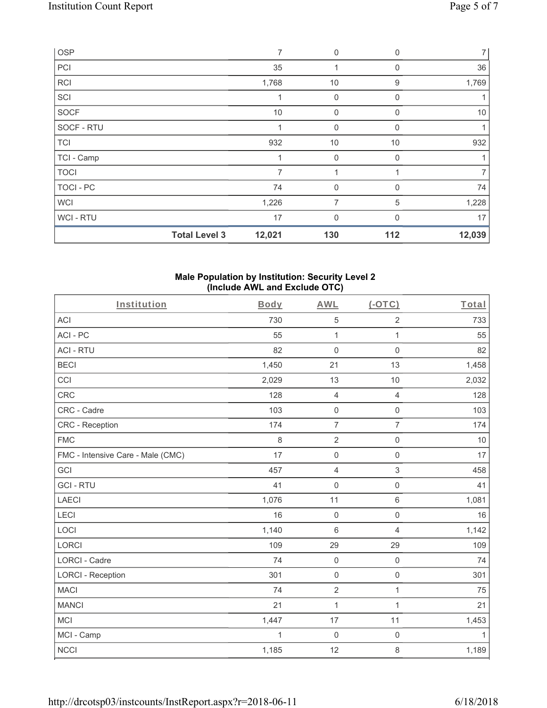| OSP         |                      | $\overline{7}$ | $\mathbf 0$    | 0            | $\overline{7}$ |
|-------------|----------------------|----------------|----------------|--------------|----------------|
| PCI         |                      | 35             |                | 0            | 36             |
| <b>RCI</b>  |                      | 1,768          | 10             | 9            | 1,769          |
| SCI         |                      |                | 0              | 0            |                |
| <b>SOCF</b> |                      | 10             | $\mathbf 0$    | $\Omega$     | 10             |
| SOCF - RTU  |                      |                | $\mathbf 0$    | 0            | 1              |
| <b>TCI</b>  |                      | 932            | 10             | 10           | 932            |
| TCI - Camp  |                      |                | $\mathbf{0}$   | 0            |                |
| <b>TOCI</b> |                      |                |                |              | 7              |
| TOCI - PC   |                      | 74             | $\mathbf 0$    | $\mathbf{0}$ | 74             |
| <b>WCI</b>  |                      | 1,226          | $\overline{7}$ | 5            | 1,228          |
| WCI - RTU   |                      | 17             | $\mathbf{0}$   | $\Omega$     | 17             |
|             | <b>Total Level 3</b> | 12,021         | 130            | 112          | 12,039         |

#### **Male Population by Institution: Security Level 2 (Include AWL and Exclude OTC)**

| Institution                       | Body         | <b>AWL</b>          | $(-OTC)$            | Total |
|-----------------------------------|--------------|---------------------|---------------------|-------|
| <b>ACI</b>                        | 730          | 5                   | $\overline{2}$      | 733   |
| ACI-PC                            | 55           | $\mathbf{1}$        | $\mathbf{1}$        | 55    |
| <b>ACI - RTU</b>                  | 82           | $\mathbf 0$         | $\mathbf 0$         | 82    |
| <b>BECI</b>                       | 1,450        | 21                  | 13                  | 1,458 |
| CCI                               | 2,029        | 13                  | 10                  | 2,032 |
| <b>CRC</b>                        | 128          | $\overline{4}$      | $\overline{4}$      | 128   |
| CRC - Cadre                       | 103          | $\mathbf 0$         | $\mathsf 0$         | 103   |
| CRC - Reception                   | 174          | $\overline{7}$      | $\overline{7}$      | 174   |
| <b>FMC</b>                        | 8            | $\overline{2}$      | $\mathsf{O}\xspace$ | 10    |
| FMC - Intensive Care - Male (CMC) | 17           | $\mathsf{O}\xspace$ | $\mathbf 0$         | 17    |
| GCI                               | 457          | $\overline{4}$      | $\sqrt{3}$          | 458   |
| <b>GCI-RTU</b>                    | 41           | $\mathbf 0$         | $\mathsf{O}\xspace$ | 41    |
| <b>LAECI</b>                      | 1,076        | 11                  | $6\phantom{1}$      | 1,081 |
| LECI                              | 16           | $\mathbf 0$         | $\mathbf 0$         | 16    |
| LOCI                              | 1,140        | $\,6\,$             | 4                   | 1,142 |
| LORCI                             | 109          | 29                  | 29                  | 109   |
| <b>LORCI - Cadre</b>              | 74           | $\mathbf 0$         | $\mathsf 0$         | 74    |
| <b>LORCI - Reception</b>          | 301          | $\mathbf 0$         | $\mathsf{O}\xspace$ | 301   |
| <b>MACI</b>                       | 74           | $\overline{2}$      | $\mathbf{1}$        | 75    |
| <b>MANCI</b>                      | 21           | $\overline{1}$      | $\mathbf{1}$        | 21    |
| <b>MCI</b>                        | 1,447        | 17                  | 11                  | 1,453 |
| MCI - Camp                        | $\mathbf{1}$ | $\boldsymbol{0}$    | $\mathsf{O}\xspace$ | 1     |
| <b>NCCI</b>                       | 1,185        | 12                  | $\,8\,$             | 1,189 |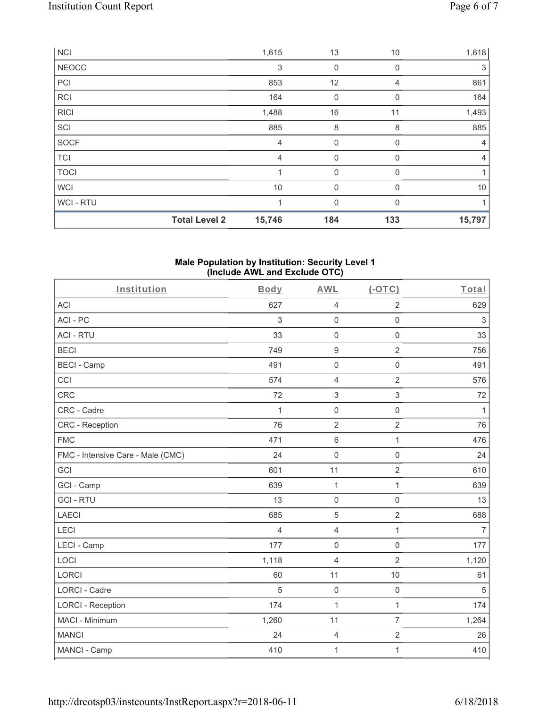|             | <b>Total Level 2</b> | 15,746 | 184          | 133      | 15,797         |
|-------------|----------------------|--------|--------------|----------|----------------|
| WCI-RTU     |                      |        | $\mathbf{0}$ | $\Omega$ |                |
| <b>WCI</b>  |                      | 10     | $\mathbf{0}$ | 0        | 10             |
| <b>TOCI</b> |                      |        | $\mathbf 0$  | 0        |                |
| <b>TCI</b>  |                      | 4      | $\mathbf 0$  | 0        | 4              |
| SOCF        |                      | 4      | $\mathbf 0$  | $\Omega$ | $\overline{4}$ |
| SCI         |                      | 885    | 8            | 8        | 885            |
| <b>RICI</b> |                      | 1,488  | 16           | 11       | 1,493          |
| RCI         |                      | 164    | $\mathbf 0$  | $\Omega$ | 164            |
| PCI         |                      | 853    | 12           | 4        | 861            |
| NEOCC       |                      | 3      | $\mathbf 0$  | 0        | 3              |
| <b>NCI</b>  |                      | 1,615  | 13           | 10       | 1,618          |

#### **Male Population by Institution: Security Level 1 (Include AWL and Exclude OTC)**

| Institution                       | <b>Body</b>    | <b>AWL</b>          | $(-OTC)$            | Total          |
|-----------------------------------|----------------|---------------------|---------------------|----------------|
| <b>ACI</b>                        | 627            | $\sqrt{4}$          | $\overline{2}$      | 629            |
| ACI-PC                            | 3              | $\mathsf{O}\xspace$ | $\mathsf{O}\xspace$ | $\sqrt{3}$     |
| <b>ACI - RTU</b>                  | 33             | $\mathsf{O}\xspace$ | $\mathbf 0$         | 33             |
| <b>BECI</b>                       | 749            | $\boldsymbol{9}$    | $\overline{2}$      | 756            |
| <b>BECI - Camp</b>                | 491            | $\mathsf{O}\xspace$ | $\mathsf{O}\xspace$ | 491            |
| CCI                               | 574            | $\overline{4}$      | $\overline{2}$      | 576            |
| <b>CRC</b>                        | 72             | $\sqrt{3}$          | $\mathfrak{S}$      | 72             |
| CRC - Cadre                       | $\mathbf{1}$   | $\mathsf{O}\xspace$ | $\mathsf 0$         | $\mathbf{1}$   |
| <b>CRC</b> - Reception            | 76             | $\overline{2}$      | $\overline{2}$      | 76             |
| <b>FMC</b>                        | 471            | $\,6\,$             | $\mathbf{1}$        | 476            |
| FMC - Intensive Care - Male (CMC) | 24             | $\mathbf 0$         | $\mathsf{O}\xspace$ | 24             |
| <b>GCI</b>                        | 601            | 11                  | $\overline{2}$      | 610            |
| GCI - Camp                        | 639            | $\mathbf{1}$        | $\mathbf{1}$        | 639            |
| <b>GCI-RTU</b>                    | 13             | $\mathsf 0$         | $\mathsf{O}\xspace$ | 13             |
| <b>LAECI</b>                      | 685            | $\sqrt{5}$          | $\overline{2}$      | 688            |
| LECI                              | $\overline{4}$ | $\overline{4}$      | $\mathbf{1}$        | $\overline{7}$ |
| LECI - Camp                       | 177            | $\mathbf 0$         | $\mathbf 0$         | 177            |
| LOCI                              | 1,118          | $\overline{4}$      | $\overline{2}$      | 1,120          |
| <b>LORCI</b>                      | 60             | 11                  | 10                  | 61             |
| <b>LORCI - Cadre</b>              | 5              | $\mathbf 0$         | $\mathsf 0$         | $\sqrt{5}$     |
| <b>LORCI - Reception</b>          | 174            | $\mathbf{1}$        | $\mathbf{1}$        | 174            |
| MACI - Minimum                    | 1,260          | 11                  | $\overline{7}$      | 1,264          |
| <b>MANCI</b>                      | 24             | $\overline{4}$      | $\overline{c}$      | 26             |
| MANCI - Camp                      | 410            | $\mathbf{1}$        | $\mathbf{1}$        | 410            |